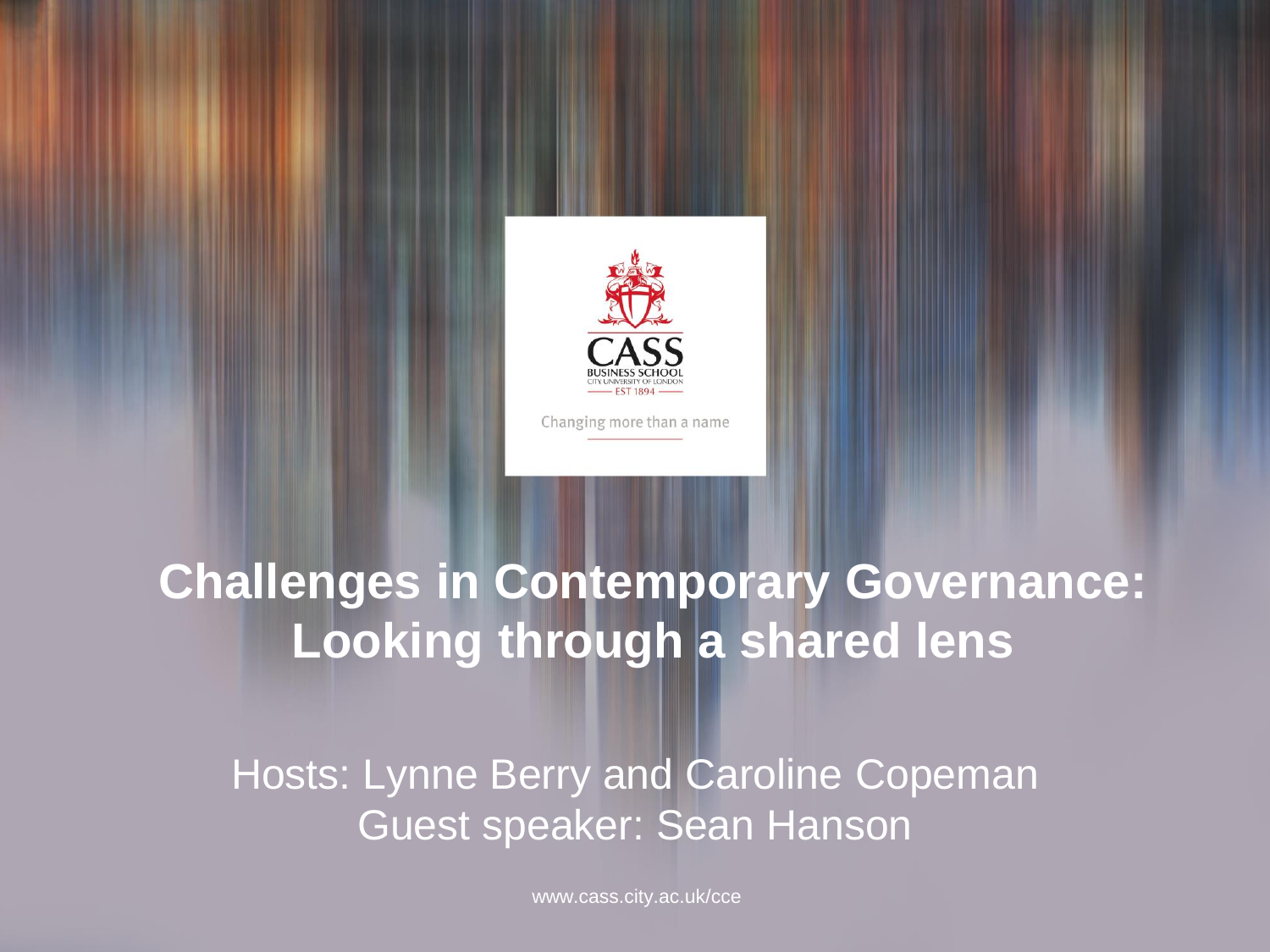

Changing more than a name

### **Challenges in Contemporary Governance: Looking through a shared lens**

Hosts: Lynne Berry and Caroline Copeman Guest speaker: Sean Hanson

www.cass.city.ac.uk/cce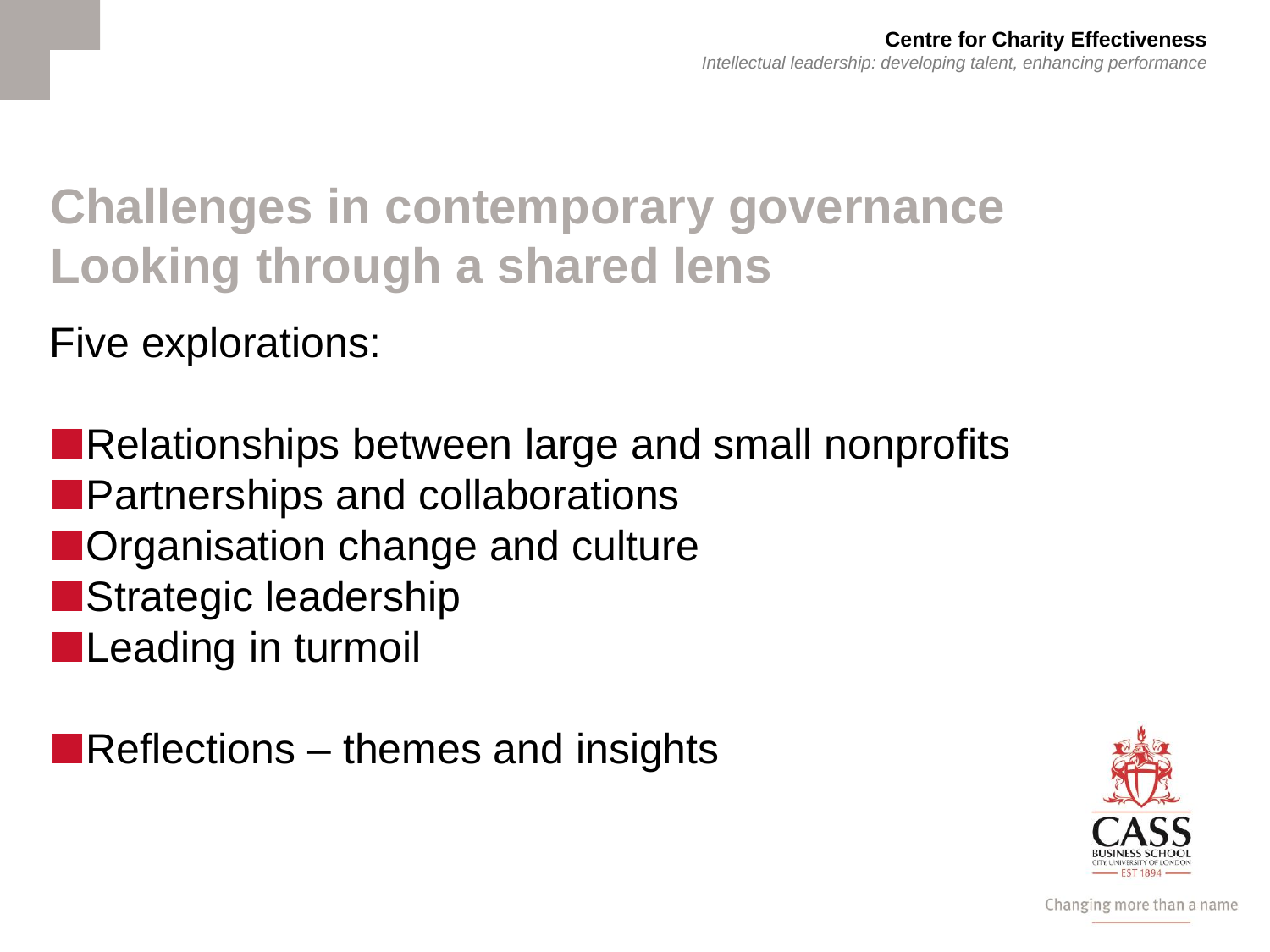# **Challenges in contemporary governance Looking through a shared lens**

Five explorations:

■Relationships between large and small nonprofits ■Partnerships and collaborations ■Organisation change and culture ■Strategic leadership ■Leading in turmoil

■Reflections – themes and insights

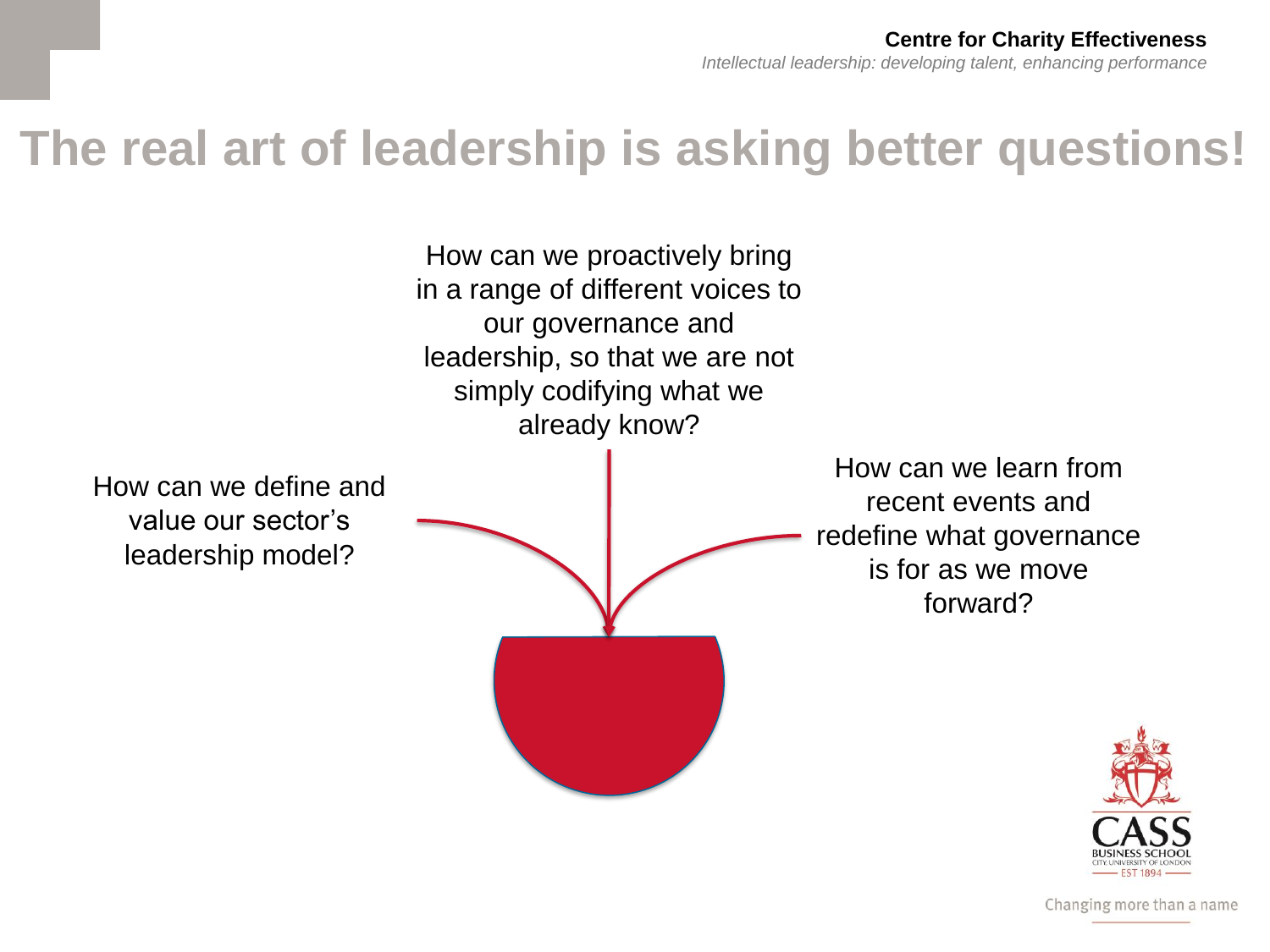### **The real art of leadership is asking better questions!**



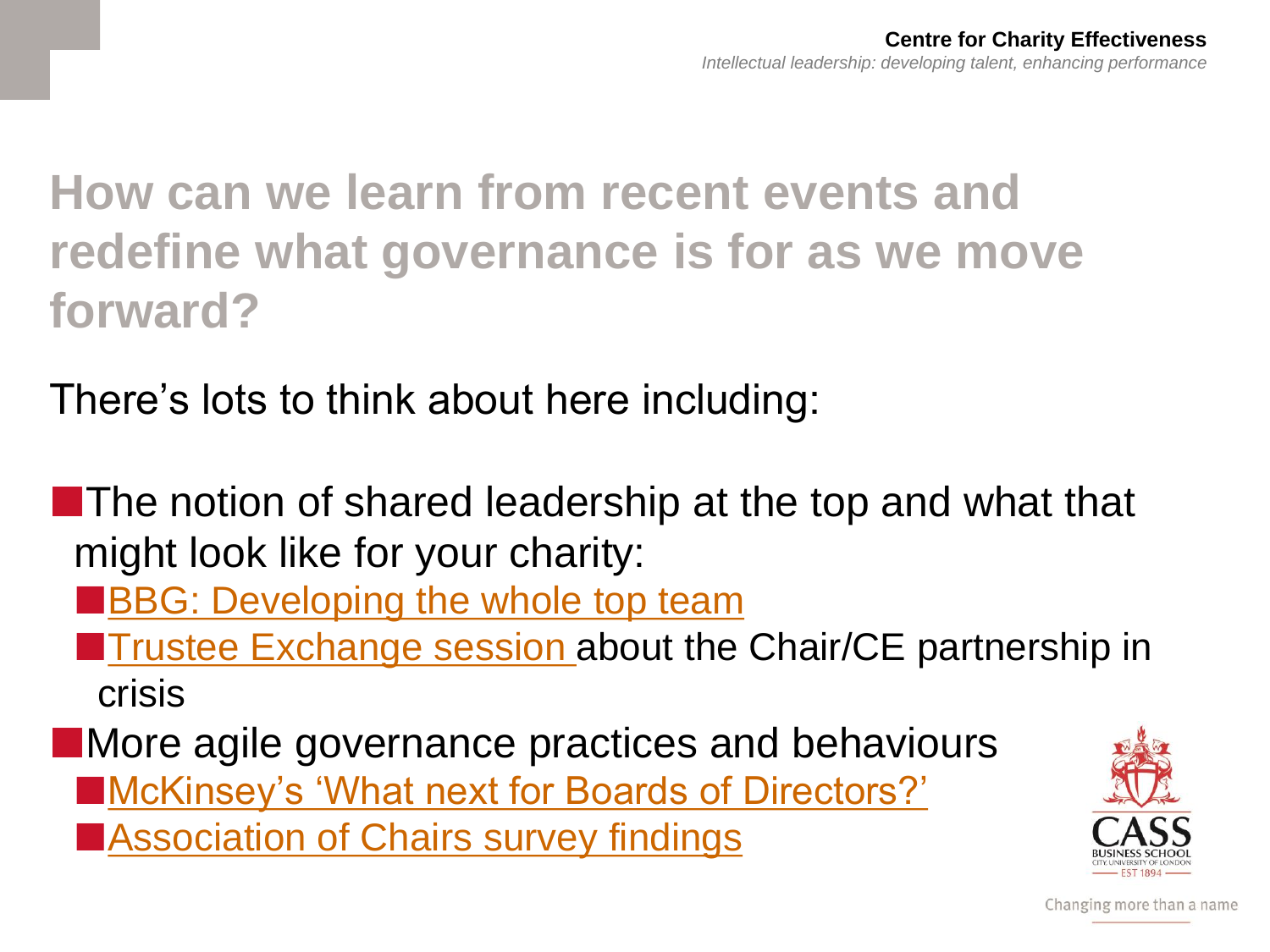# **How can we learn from recent events and redefine what governance is for as we move forward?**

There's lots to think about here including:

■The notion of shared leadership at the top and what that might look like for your charity:

**[BBG: Developing the whole top team](https://www.cass.city.ac.uk/faculties-and-research/centres/cce/toolkits-and-guides/building-better-governance)** 

**[Trustee Exchange session a](https://www.cass.city.ac.uk/faculties-and-research/centres/cce/reports-and-research)bout the Chair/CE partnership in** crisis

■More agile governance practices and behaviours ■[McKinsey's 'What next for Boards of Directors?'](https://www.mckinsey.com/business-functions/strategy-and-corporate-finance/our-insights/how-boards-have-risen-to-the-covid-19-challenge-and-whats-next) ■[Association of Chairs survey findings](https://www.associationofchairs.org.uk/resources/download-chairs-survey-2021/)

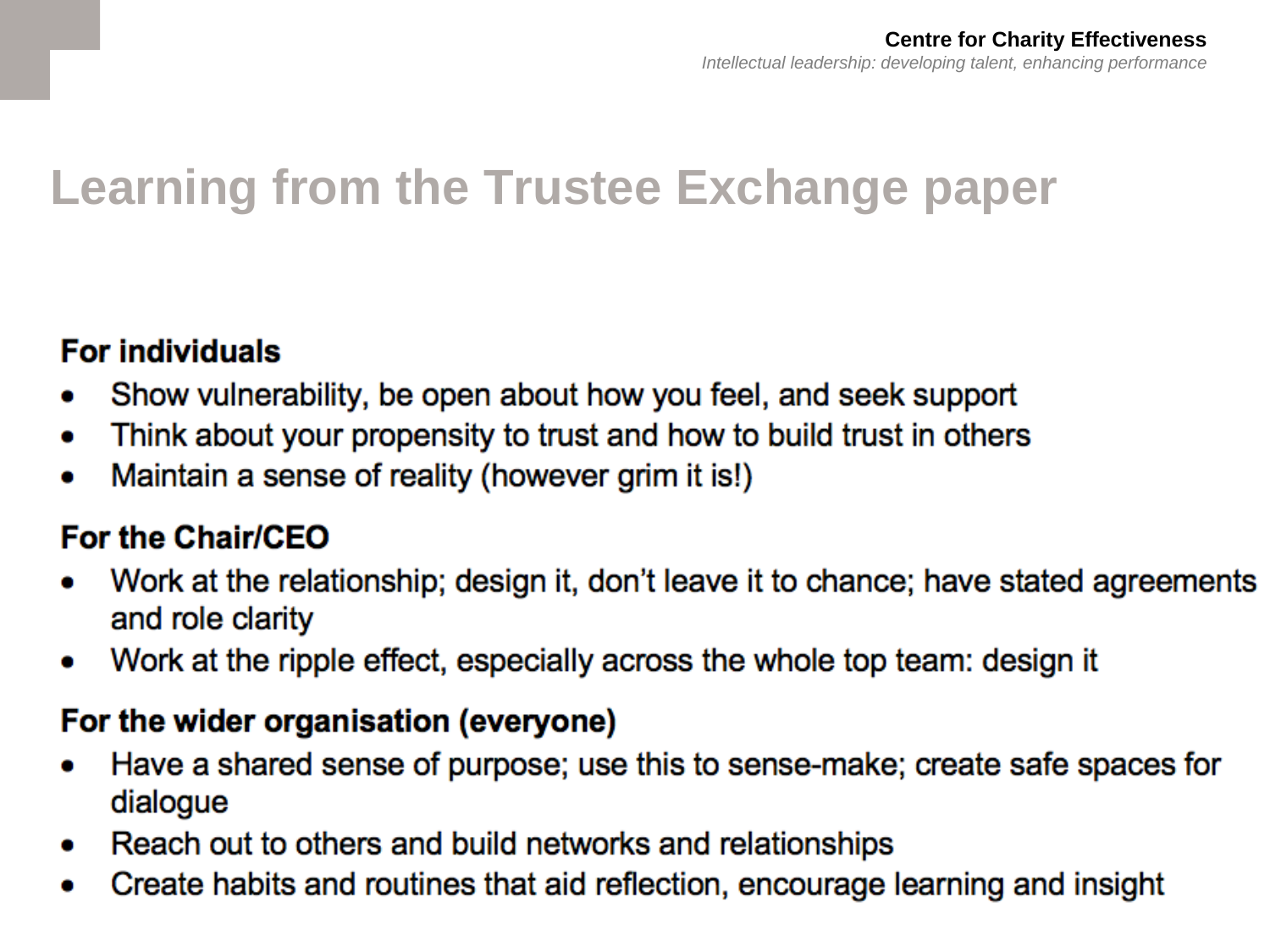# **Learning from the Trustee Exchange paper**

#### **For individuals**

- Show vulnerability, be open about how you feel, and seek support
- Think about your propensity to trust and how to build trust in others
- Maintain a sense of reality (however grim it is!)

#### For the Chair/CEO

- Work at the relationship; design it, don't leave it to chance; have stated agreements and role clarity
- Work at the ripple effect, especially across the whole top team: design it

#### For the wider organisation (everyone)

- Have a shared sense of purpose; use this to sense-make; create safe spaces for dialogue
- Reach out to others and build networks and relationships  $\bullet$
- Create habits and routines that aid reflection, encourage learning and insight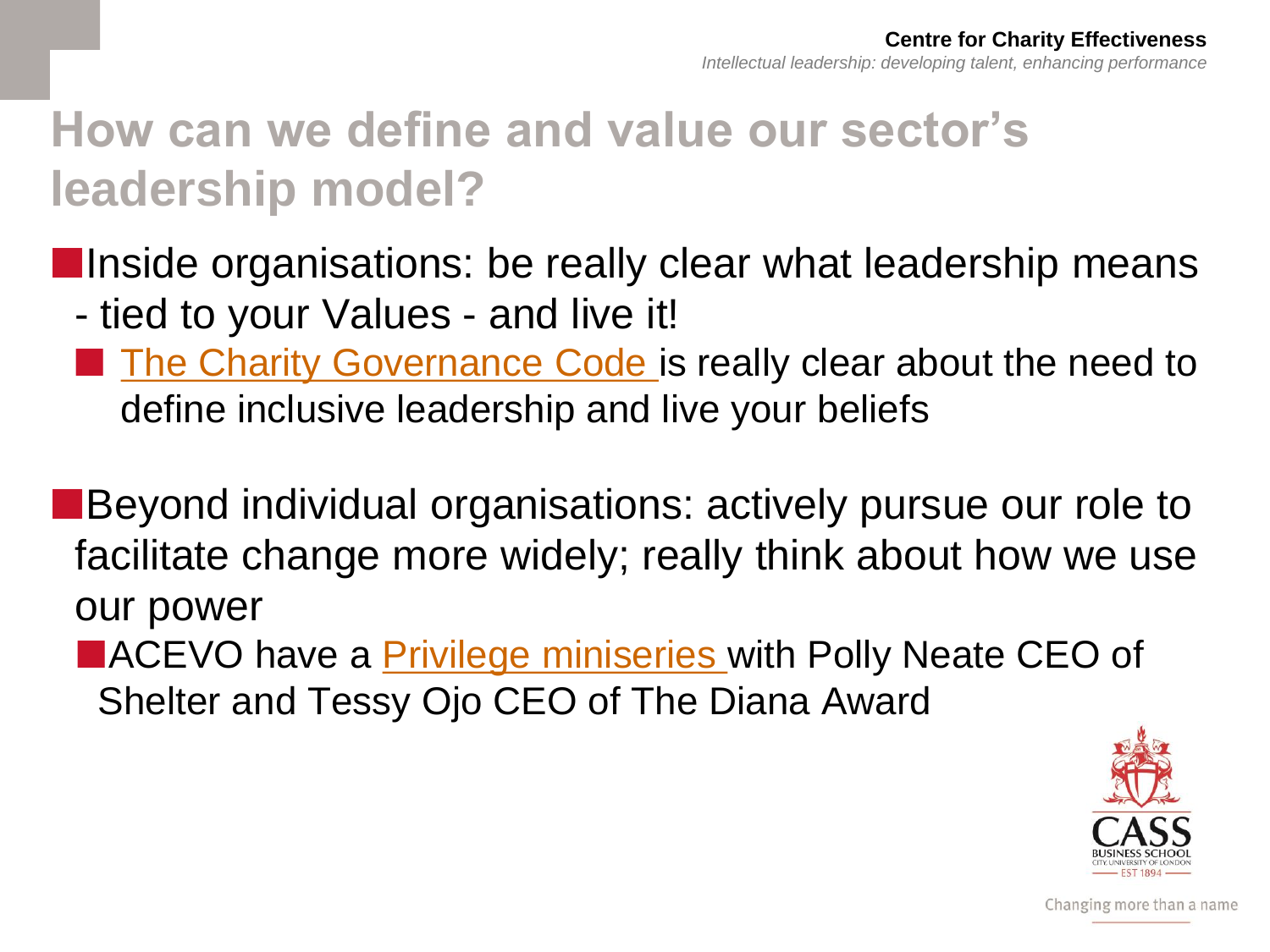# **How can we define and value our sector's leadership model?**

**Inside organisations: be really clear what leadership means** 

- tied to your Values - and live it!

[The Charity Governance Code i](https://www.charitygovernancecode.org/en/front-page)s really clear about the need to define inclusive leadership and live your beliefs

■Beyond individual organisations: actively pursue our role to facilitate change more widely; really think about how we use our power

■ACEVO have a *Privilege miniseries* with Polly Neate CEO of Shelter and Tessy Ojo CEO of The Diana Award

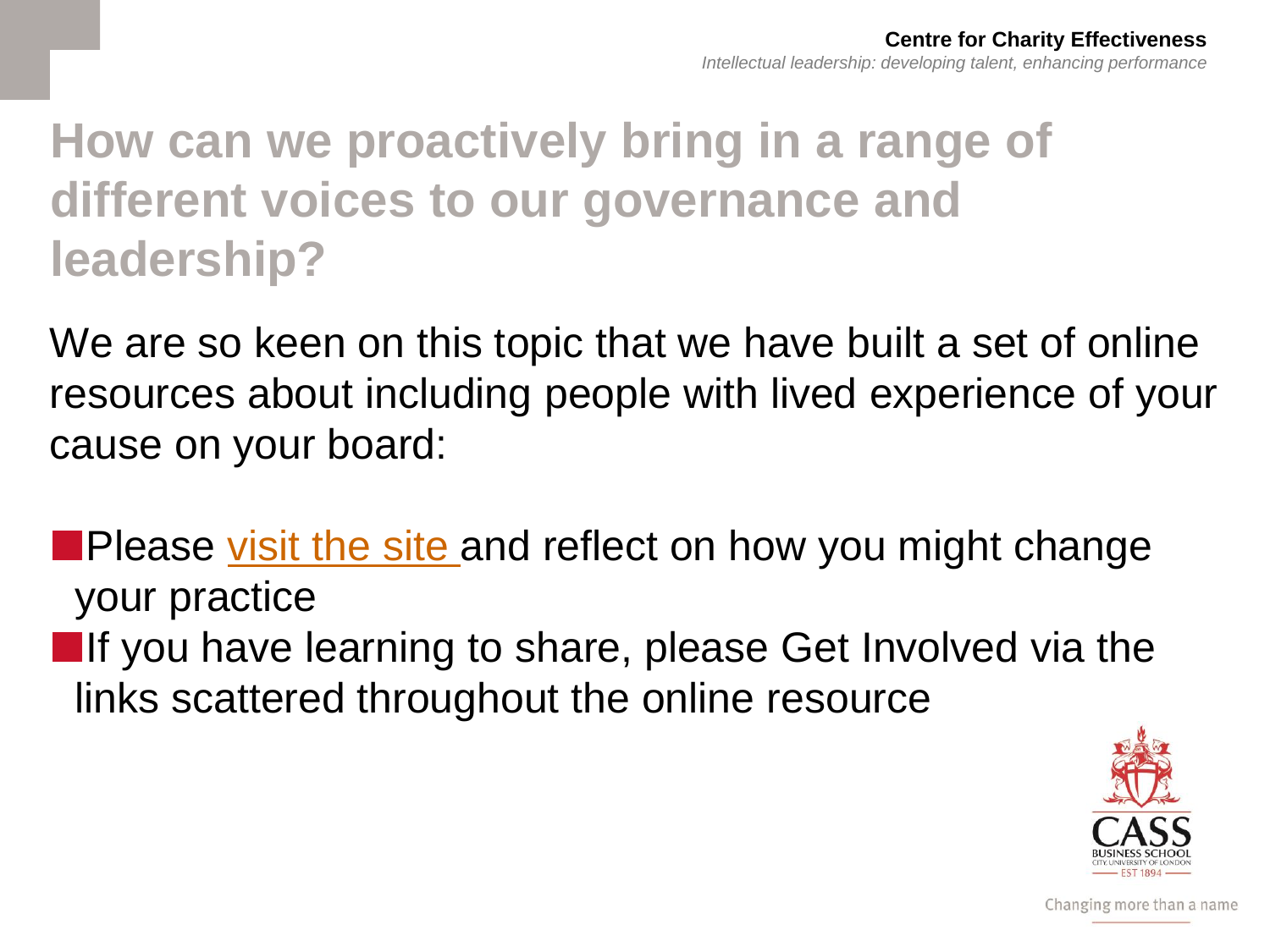# **How can we proactively bring in a range of different voices to our governance and leadership?**

We are so keen on this topic that we have built a set of online resources about including people with lived experience of your cause on your board:

■Please <u>visit the site</u> and reflect on how you might change your practice

■If you have learning to share, please Get Involved via the links scattered throughout the online resource